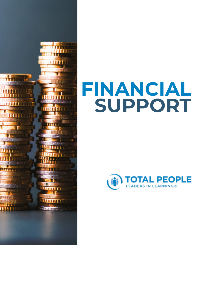

# **FINANCIAL SUPPORT**

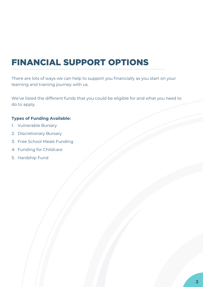## FINANCIAL SUPPORT OPTIONS

There are lots of ways we can help to support you financially as you start on your learning and training journey with us.

We've listed the different funds that you could be eligible for and what you need to do to apply.

#### **Types of Funding Available:**

- 1. Vulnerable Bursary
- 2. Discretionary Bursary
- 3. Free School Meals Funding
- 4. Funding for Childcare
- 5. Hardship Fund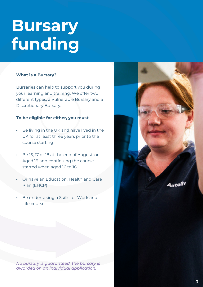## **Bursary funding**

#### **What is a Bursary?**

Bursaries can help to support you during your learning and training. We offer two different types, a Vulnerable Bursary and a Discretionary Bursary.

#### **To be eligible for either, you must:**

- **•** Be living in the UK and have lived in the UK for at least three years prior to the course starting
- **•** Be 16, 17 or 18 at the end of August, or Aged 19 and continuing the course started when aged 16 to 18
- **•** Or have an Education, Health and Care Plan (EHCP)
- **•** Be undertaking a Skills for Work and Life course

*No bursary is guaranteed, the bursary is awarded on an individual application.*





Autol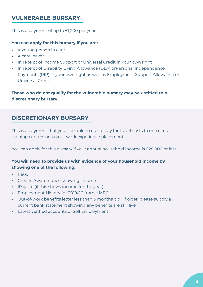## **VULNERABLE BURSARY**

This is a payment of up to £1,200 per year.

#### **You can apply for this bursary if you are:**

- **•** A young person in care
- **•** A care leaver
- **•** In receipt of Income Support or Universal Credit in your own right
- **•** In receipt of Disability Living Allowance (DLA) orPersonal Independence Payments (PIP) in your own right as well as Employment Support Allowance or Universal Credit

Those who do not qualify for the vulnerable bursary may be entitled to a **discretionary bursary.**

## **DISCRETIONARY BURSARY**

This is a payment that you'll be able to use to pay for travel costs to one of our training centres or to your work experience placement.

You can apply for this bursary if your annual household income is £28,000 or less.

### **You will need to provide us with evidence of your household income by showing one of the following:**

- **•** P60s
- **•** Credits Award notice showing income
- **•** IPayslip (if this shows income for the year)
- **•** Employment History for 2019/20 from HMRC
- **•** Out-of-work benefits letter less than 3 months old. If older, please supply a current bank statement showing any benefits are still live
- **•** Latest verified accounts of Self Employment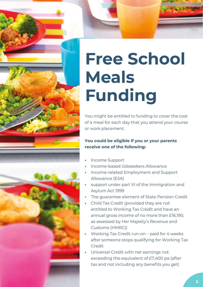



# **Free School Meals Funding**

You might be entitled to funding to cover the cost of a meal for each day that you attend your course or work placement.

### **You could be eligible if you or your parents receive one of the following:**

- **•** Income Support
- **•** Income-based Jobseekers Allowance
- **•** Income-related Employment and Support Allowance (ESA)
- **•** support under part VI of the Immigration and Asylum Act 1999
- **•** The guarantee element of State Pension Credit
- **•** Child Tax Credit (provided they are not entitled to Working Tax Credit and have an annual gross income of no more than £16,190, as assessed by Her Majesty's Revenue and Customs (HMRC))
- **•** Working Tax Credit run-on paid for 4 weeks after someone stops qualifying for Working Tax Credit
- **•** Universal Credit with net earnings not exceeding the equivalent of £7,400 pa (after tax and not including any benefits you get)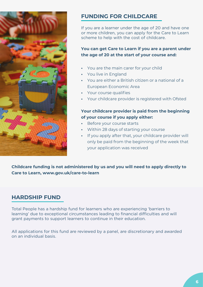

## **FUNDING FOR CHILDCARE**

If you are a learner under the age of 20 and have one or more children, you can apply for the Care to Learn scheme to help with the cost of childcare.

**You can get Care to Learn if you are a parent under the age of 20 at the start of your course and:**

- **•** You are the main carer for your child
- **•** You live in England
- **•** You are either a British citizen or a national of a European Economic Area
- **•** Your course qualifies
- **•** Your childcare provider is registered with Ofsted

### **Your childcare provider is paid from the beginning of your course if you apply either:**

- **•** Before your course starts
- **•** Within 28 days of starting your course
- **•** If you apply after that, your childcare provider will only be paid from the beginning of the week that your application was received

**Childcare funding is not administered by us and you will need to apply directly to Care to Learn, www.gov.uk/care-to-learn**

### **HARDSHIP FUND**

Total People has a hardship fund for learners who are experiencing 'barriers to learning' due to exceptional circumstances leading to financial difficulties and will grant payments to support learners to continue in their education.

All applications for this fund are reviewed by a panel, are discretionary and awarded on an individual basis.